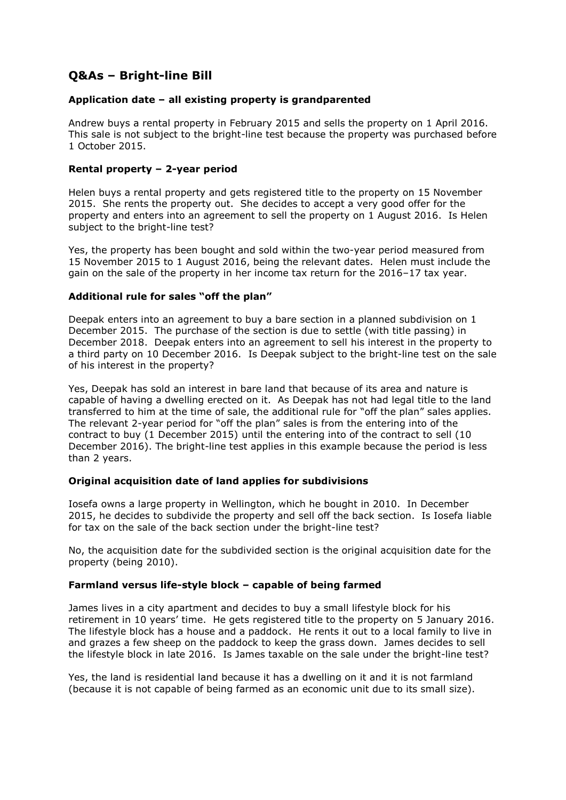# **Q&As – Bright-line Bill**

## **Application date – all existing property is grandparented**

Andrew buys a rental property in February 2015 and sells the property on 1 April 2016. This sale is not subject to the bright-line test because the property was purchased before 1 October 2015.

## **Rental property – 2-year period**

Helen buys a rental property and gets registered title to the property on 15 November 2015. She rents the property out. She decides to accept a very good offer for the property and enters into an agreement to sell the property on 1 August 2016. Is Helen subject to the bright-line test?

Yes, the property has been bought and sold within the two-year period measured from 15 November 2015 to 1 August 2016, being the relevant dates. Helen must include the gain on the sale of the property in her income tax return for the 2016–17 tax year.

## **Additional rule for sales "off the plan"**

Deepak enters into an agreement to buy a bare section in a planned subdivision on 1 December 2015. The purchase of the section is due to settle (with title passing) in December 2018. Deepak enters into an agreement to sell his interest in the property to a third party on 10 December 2016. Is Deepak subject to the bright-line test on the sale of his interest in the property?

Yes, Deepak has sold an interest in bare land that because of its area and nature is capable of having a dwelling erected on it. As Deepak has not had legal title to the land transferred to him at the time of sale, the additional rule for "off the plan" sales applies. The relevant 2-year period for "off the plan" sales is from the entering into of the contract to buy (1 December 2015) until the entering into of the contract to sell (10 December 2016). The bright-line test applies in this example because the period is less than 2 years.

### **Original acquisition date of land applies for subdivisions**

Iosefa owns a large property in Wellington, which he bought in 2010. In December 2015, he decides to subdivide the property and sell off the back section. Is Iosefa liable for tax on the sale of the back section under the bright-line test?

No, the acquisition date for the subdivided section is the original acquisition date for the property (being 2010).

### **Farmland versus life-style block – capable of being farmed**

James lives in a city apartment and decides to buy a small lifestyle block for his retirement in 10 years' time. He gets registered title to the property on 5 January 2016. The lifestyle block has a house and a paddock. He rents it out to a local family to live in and grazes a few sheep on the paddock to keep the grass down. James decides to sell the lifestyle block in late 2016. Is James taxable on the sale under the bright-line test?

Yes, the land is residential land because it has a dwelling on it and it is not farmland (because it is not capable of being farmed as an economic unit due to its small size).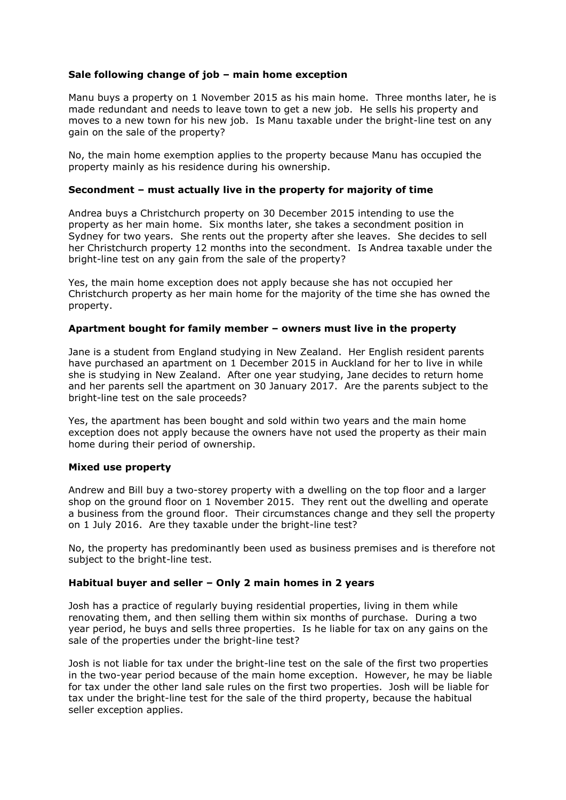## **Sale following change of job – main home exception**

Manu buys a property on 1 November 2015 as his main home. Three months later, he is made redundant and needs to leave town to get a new job. He sells his property and moves to a new town for his new job. Is Manu taxable under the bright-line test on any gain on the sale of the property?

No, the main home exemption applies to the property because Manu has occupied the property mainly as his residence during his ownership.

### **Secondment – must actually live in the property for majority of time**

Andrea buys a Christchurch property on 30 December 2015 intending to use the property as her main home. Six months later, she takes a secondment position in Sydney for two years. She rents out the property after she leaves. She decides to sell her Christchurch property 12 months into the secondment. Is Andrea taxable under the bright-line test on any gain from the sale of the property?

Yes, the main home exception does not apply because she has not occupied her Christchurch property as her main home for the majority of the time she has owned the property.

### **Apartment bought for family member – owners must live in the property**

Jane is a student from England studying in New Zealand. Her English resident parents have purchased an apartment on 1 December 2015 in Auckland for her to live in while she is studying in New Zealand. After one year studying, Jane decides to return home and her parents sell the apartment on 30 January 2017. Are the parents subject to the bright-line test on the sale proceeds?

Yes, the apartment has been bought and sold within two years and the main home exception does not apply because the owners have not used the property as their main home during their period of ownership.

#### **Mixed use property**

Andrew and Bill buy a two-storey property with a dwelling on the top floor and a larger shop on the ground floor on 1 November 2015. They rent out the dwelling and operate a business from the ground floor. Their circumstances change and they sell the property on 1 July 2016. Are they taxable under the bright-line test?

No, the property has predominantly been used as business premises and is therefore not subject to the bright-line test.

## **Habitual buyer and seller – Only 2 main homes in 2 years**

Josh has a practice of regularly buying residential properties, living in them while renovating them, and then selling them within six months of purchase. During a two year period, he buys and sells three properties. Is he liable for tax on any gains on the sale of the properties under the bright-line test?

Josh is not liable for tax under the bright-line test on the sale of the first two properties in the two-year period because of the main home exception. However, he may be liable for tax under the other land sale rules on the first two properties. Josh will be liable for tax under the bright-line test for the sale of the third property, because the habitual seller exception applies.